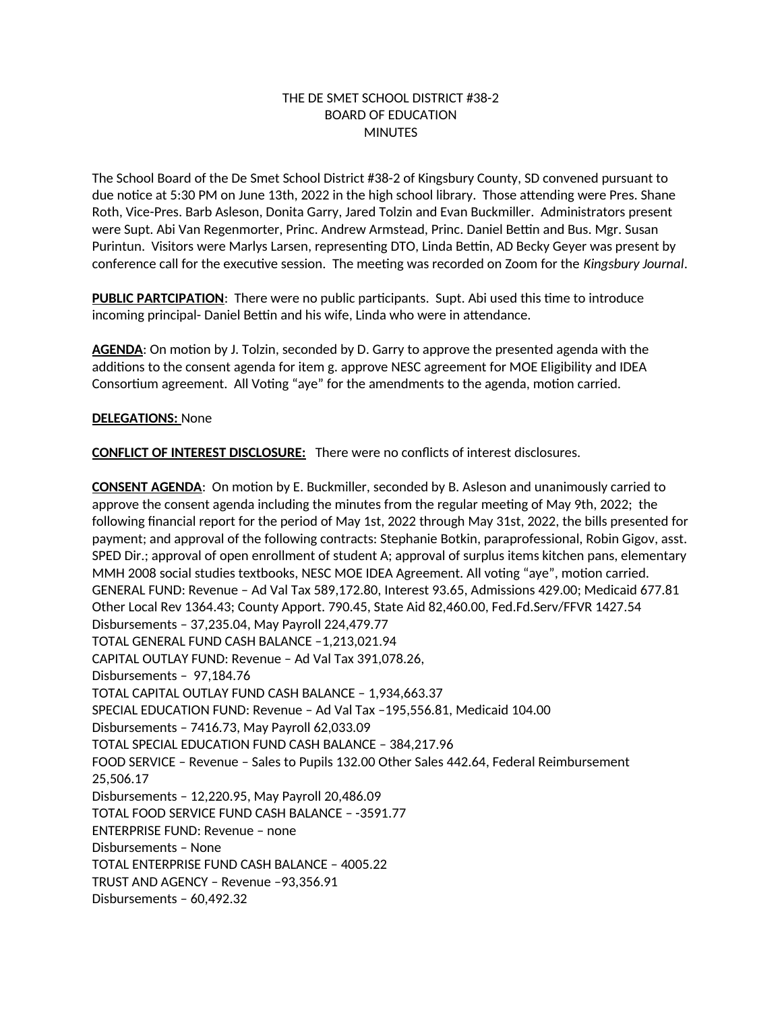# THE DE SMET SCHOOL DISTRICT #38-2 BOARD OF EDUCATION **MINUTES**

The School Board of the De Smet School District #38-2 of Kingsbury County, SD convened pursuant to due notice at 5:30 PM on June 13th, 2022 in the high school library. Those attending were Pres. Shane Roth, Vice-Pres. Barb Asleson, Donita Garry, Jared Tolzin and Evan Buckmiller. Administrators present were Supt. Abi Van Regenmorter, Princ. Andrew Armstead, Princ. Daniel Bettin and Bus. Mgr. Susan Purintun. Visitors were Marlys Larsen, representing DTO, Linda Bettin, AD Becky Geyer was present by conference call for the executive session. The meeting was recorded on Zoom for the *Kingsbury Journal*.

**PUBLIC PARTCIPATION**: There were no public participants. Supt. Abi used this time to introduce incoming principal- Daniel Bettin and his wife, Linda who were in attendance.

**AGENDA**: On motion by J. Tolzin, seconded by D. Garry to approve the presented agenda with the additions to the consent agenda for item g. approve NESC agreement for MOE Eligibility and IDEA Consortium agreement. All Voting "aye" for the amendments to the agenda, motion carried.

# **DELEGATIONS:** None

**CONFLICT OF INTEREST DISCLOSURE:** There were no conflicts of interest disclosures.

**CONSENT AGENDA**: On motion by E. Buckmiller, seconded by B. Asleson and unanimously carried to approve the consent agenda including the minutes from the regular meeting of May 9th, 2022; the following financial report for the period of May 1st, 2022 through May 31st, 2022, the bills presented for payment; and approval of the following contracts: Stephanie Botkin, paraprofessional, Robin Gigov, asst. SPED Dir.; approval of open enrollment of student A; approval of surplus items kitchen pans, elementary MMH 2008 social studies textbooks, NESC MOE IDEA Agreement. All voting "aye", motion carried. GENERAL FUND: Revenue – Ad Val Tax 589,172.80, Interest 93.65, Admissions 429.00; Medicaid 677.81 Other Local Rev 1364.43; County Apport. 790.45, State Aid 82,460.00, Fed.Fd.Serv/FFVR 1427.54 Disbursements – 37,235.04, May Payroll 224,479.77 TOTAL GENERAL FUND CASH BALANCE –1,213,021.94 CAPITAL OUTLAY FUND: Revenue – Ad Val Tax 391,078.26, Disbursements – 97,184.76 TOTAL CAPITAL OUTLAY FUND CASH BALANCE – 1,934,663.37 SPECIAL EDUCATION FUND: Revenue – Ad Val Tax –195,556.81, Medicaid 104.00 Disbursements – 7416.73, May Payroll 62,033.09 TOTAL SPECIAL EDUCATION FUND CASH BALANCE – 384,217.96 FOOD SERVICE – Revenue – Sales to Pupils 132.00 Other Sales 442.64, Federal Reimbursement 25,506.17 Disbursements – 12,220.95, May Payroll 20,486.09 TOTAL FOOD SERVICE FUND CASH BALANCE – -3591.77 ENTERPRISE FUND: Revenue – none Disbursements – None TOTAL ENTERPRISE FUND CASH BALANCE – 4005.22 TRUST AND AGENCY – Revenue –93,356.91 Disbursements – 60,492.32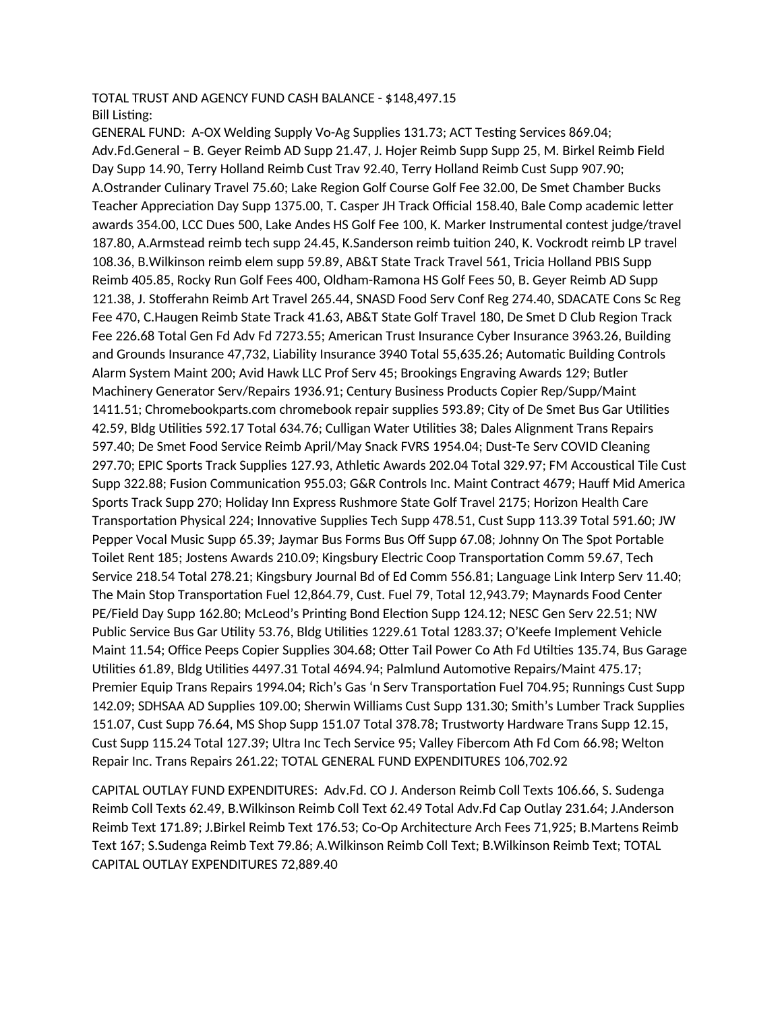#### TOTAL TRUST AND AGENCY FUND CASH BALANCE - \$148,497.15 Bill Listing:

GENERAL FUND: A-OX Welding Supply Vo-Ag Supplies 131.73; ACT Testing Services 869.04; Adv.Fd.General – B. Geyer Reimb AD Supp 21.47, J. Hojer Reimb Supp Supp 25, M. Birkel Reimb Field Day Supp 14.90, Terry Holland Reimb Cust Trav 92.40, Terry Holland Reimb Cust Supp 907.90; A.Ostrander Culinary Travel 75.60; Lake Region Golf Course Golf Fee 32.00, De Smet Chamber Bucks Teacher Appreciation Day Supp 1375.00, T. Casper JH Track Official 158.40, Bale Comp academic letter awards 354.00, LCC Dues 500, Lake Andes HS Golf Fee 100, K. Marker Instrumental contest judge/travel 187.80, A.Armstead reimb tech supp 24.45, K.Sanderson reimb tuition 240, K. Vockrodt reimb LP travel 108.36, B.Wilkinson reimb elem supp 59.89, AB&T State Track Travel 561, Tricia Holland PBIS Supp Reimb 405.85, Rocky Run Golf Fees 400, Oldham-Ramona HS Golf Fees 50, B. Geyer Reimb AD Supp 121.38, J. Stofferahn Reimb Art Travel 265.44, SNASD Food Serv Conf Reg 274.40, SDACATE Cons Sc Reg Fee 470, C.Haugen Reimb State Track 41.63, AB&T State Golf Travel 180, De Smet D Club Region Track Fee 226.68 Total Gen Fd Adv Fd 7273.55; American Trust Insurance Cyber Insurance 3963.26, Building and Grounds Insurance 47,732, Liability Insurance 3940 Total 55,635.26; Automatic Building Controls Alarm System Maint 200; Avid Hawk LLC Prof Serv 45; Brookings Engraving Awards 129; Butler Machinery Generator Serv/Repairs 1936.91; Century Business Products Copier Rep/Supp/Maint 1411.51; Chromebookparts.com chromebook repair supplies 593.89; City of De Smet Bus Gar Utilities 42.59, Bldg Utilities 592.17 Total 634.76; Culligan Water Utilities 38; Dales Alignment Trans Repairs 597.40; De Smet Food Service Reimb April/May Snack FVRS 1954.04; Dust-Te Serv COVID Cleaning 297.70; EPIC Sports Track Supplies 127.93, Athletic Awards 202.04 Total 329.97; FM Accoustical Tile Cust Supp 322.88; Fusion Communication 955.03; G&R Controls Inc. Maint Contract 4679; Hauff Mid America Sports Track Supp 270; Holiday Inn Express Rushmore State Golf Travel 2175; Horizon Health Care Transportation Physical 224; Innovative Supplies Tech Supp 478.51, Cust Supp 113.39 Total 591.60; JW Pepper Vocal Music Supp 65.39; Jaymar Bus Forms Bus Off Supp 67.08; Johnny On The Spot Portable Toilet Rent 185; Jostens Awards 210.09; Kingsbury Electric Coop Transportation Comm 59.67, Tech Service 218.54 Total 278.21; Kingsbury Journal Bd of Ed Comm 556.81; Language Link Interp Serv 11.40; The Main Stop Transportation Fuel 12,864.79, Cust. Fuel 79, Total 12,943.79; Maynards Food Center PE/Field Day Supp 162.80; McLeod's Printing Bond Election Supp 124.12; NESC Gen Serv 22.51; NW Public Service Bus Gar Utility 53.76, Bldg Utilities 1229.61 Total 1283.37; O'Keefe Implement Vehicle Maint 11.54; Office Peeps Copier Supplies 304.68; Otter Tail Power Co Ath Fd Utilties 135.74, Bus Garage Utilities 61.89, Bldg Utilities 4497.31 Total 4694.94; Palmlund Automotive Repairs/Maint 475.17; Premier Equip Trans Repairs 1994.04; Rich's Gas 'n Serv Transportation Fuel 704.95; Runnings Cust Supp 142.09; SDHSAA AD Supplies 109.00; Sherwin Williams Cust Supp 131.30; Smith's Lumber Track Supplies 151.07, Cust Supp 76.64, MS Shop Supp 151.07 Total 378.78; Trustworty Hardware Trans Supp 12.15, Cust Supp 115.24 Total 127.39; Ultra Inc Tech Service 95; Valley Fibercom Ath Fd Com 66.98; Welton Repair Inc. Trans Repairs 261.22; TOTAL GENERAL FUND EXPENDITURES 106,702.92

CAPITAL OUTLAY FUND EXPENDITURES: Adv.Fd. CO J. Anderson Reimb Coll Texts 106.66, S. Sudenga Reimb Coll Texts 62.49, B.Wilkinson Reimb Coll Text 62.49 Total Adv.Fd Cap Outlay 231.64; J.Anderson Reimb Text 171.89; J.Birkel Reimb Text 176.53; Co-Op Architecture Arch Fees 71,925; B.Martens Reimb Text 167; S.Sudenga Reimb Text 79.86; A.Wilkinson Reimb Coll Text; B.Wilkinson Reimb Text; TOTAL CAPITAL OUTLAY EXPENDITURES 72,889.40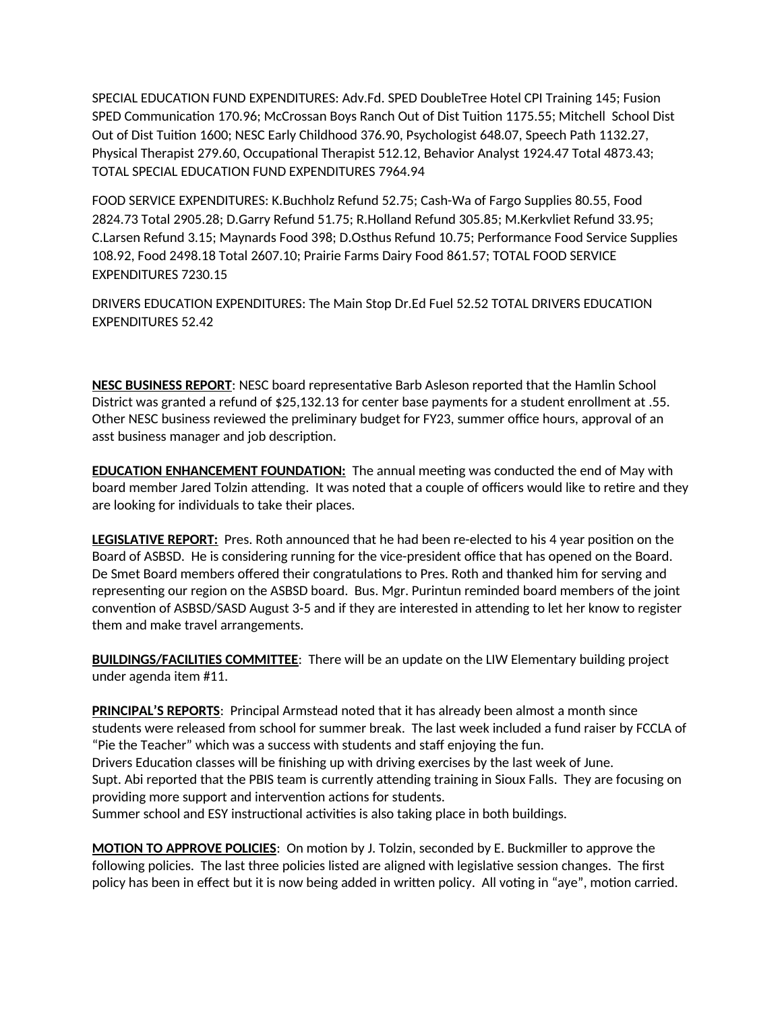SPECIAL EDUCATION FUND EXPENDITURES: Adv.Fd. SPED DoubleTree Hotel CPI Training 145; Fusion SPED Communication 170.96; McCrossan Boys Ranch Out of Dist Tuition 1175.55; Mitchell School Dist Out of Dist Tuition 1600; NESC Early Childhood 376.90, Psychologist 648.07, Speech Path 1132.27, Physical Therapist 279.60, Occupational Therapist 512.12, Behavior Analyst 1924.47 Total 4873.43; TOTAL SPECIAL EDUCATION FUND EXPENDITURES 7964.94

FOOD SERVICE EXPENDITURES: K.Buchholz Refund 52.75; Cash-Wa of Fargo Supplies 80.55, Food 2824.73 Total 2905.28; D.Garry Refund 51.75; R.Holland Refund 305.85; M.Kerkvliet Refund 33.95; C.Larsen Refund 3.15; Maynards Food 398; D.Osthus Refund 10.75; Performance Food Service Supplies 108.92, Food 2498.18 Total 2607.10; Prairie Farms Dairy Food 861.57; TOTAL FOOD SERVICE EXPENDITURES 7230.15

DRIVERS EDUCATION EXPENDITURES: The Main Stop Dr.Ed Fuel 52.52 TOTAL DRIVERS EDUCATION EXPENDITURES 52.42

**NESC BUSINESS REPORT**: NESC board representative Barb Asleson reported that the Hamlin School District was granted a refund of \$25,132.13 for center base payments for a student enrollment at .55. Other NESC business reviewed the preliminary budget for FY23, summer office hours, approval of an asst business manager and job description.

**EDUCATION ENHANCEMENT FOUNDATION:** The annual meeting was conducted the end of May with board member Jared Tolzin attending. It was noted that a couple of officers would like to retire and they are looking for individuals to take their places.

**LEGISLATIVE REPORT:** Pres. Roth announced that he had been re-elected to his 4 year position on the Board of ASBSD. He is considering running for the vice-president office that has opened on the Board. De Smet Board members offered their congratulations to Pres. Roth and thanked him for serving and representing our region on the ASBSD board. Bus. Mgr. Purintun reminded board members of the joint convention of ASBSD/SASD August 3-5 and if they are interested in attending to let her know to register them and make travel arrangements.

**BUILDINGS/FACILITIES COMMITTEE**: There will be an update on the LIW Elementary building project under agenda item #11.

**PRINCIPAL'S REPORTS**: Principal Armstead noted that it has already been almost a month since students were released from school for summer break. The last week included a fund raiser by FCCLA of "Pie the Teacher" which was a success with students and staff enjoying the fun. Drivers Education classes will be finishing up with driving exercises by the last week of June. Supt. Abi reported that the PBIS team is currently attending training in Sioux Falls. They are focusing on providing more support and intervention actions for students. Summer school and ESY instructional activities is also taking place in both buildings.

**MOTION TO APPROVE POLICIES**: On motion by J. Tolzin, seconded by E. Buckmiller to approve the following policies. The last three policies listed are aligned with legislative session changes. The first policy has been in effect but it is now being added in written policy. All voting in "aye", motion carried.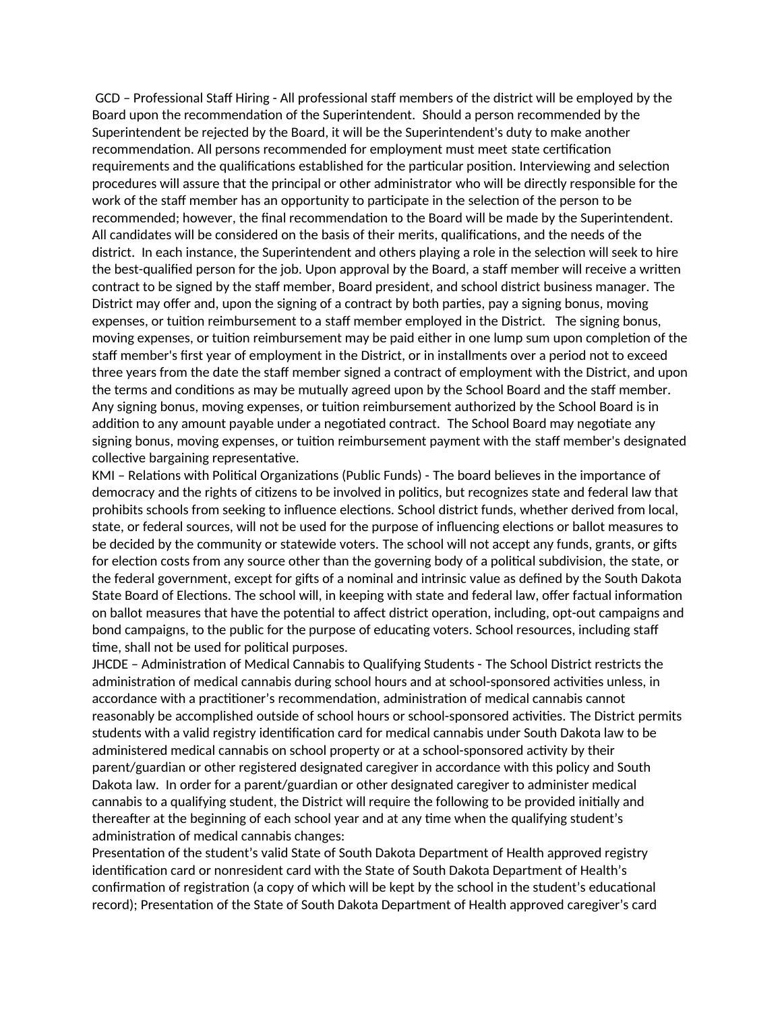GCD – Professional Staff Hiring - All professional staff members of the district will be employed by the Board upon the recommendation of the Superintendent. Should a person recommended by the Superintendent be rejected by the Board, it will be the Superintendent's duty to make another recommendation. All persons recommended for employment must meet state certification requirements and the qualifications established for the particular position. Interviewing and selection procedures will assure that the principal or other administrator who will be directly responsible for the work of the staff member has an opportunity to participate in the selection of the person to be recommended; however, the final recommendation to the Board will be made by the Superintendent. All candidates will be considered on the basis of their merits, qualifications, and the needs of the district. In each instance, the Superintendent and others playing a role in the selection will seek to hire the best-qualified person for the job. Upon approval by the Board, a staff member will receive a written contract to be signed by the staff member, Board president, and school district business manager. The District may offer and, upon the signing of a contract by both parties, pay a signing bonus, moving expenses, or tuition reimbursement to a staff member employed in the District. The signing bonus, moving expenses, or tuition reimbursement may be paid either in one lump sum upon completion of the staff member's first year of employment in the District, or in installments over a period not to exceed three years from the date the staff member signed a contract of employment with the District, and upon the terms and conditions as may be mutually agreed upon by the School Board and the staff member. Any signing bonus, moving expenses, or tuition reimbursement authorized by the School Board is in addition to any amount payable under a negotiated contract. The School Board may negotiate any signing bonus, moving expenses, or tuition reimbursement payment with the staff member's designated collective bargaining representative.

KMI – Relations with Political Organizations (Public Funds) - The board believes in the importance of democracy and the rights of citizens to be involved in politics, but recognizes state and federal law that prohibits schools from seeking to influence elections. School district funds, whether derived from local, state, or federal sources, will not be used for the purpose of influencing elections or ballot measures to be decided by the community or statewide voters. The school will not accept any funds, grants, or gifts for election costs from any source other than the governing body of a political subdivision, the state, or the federal government, except for gifts of a nominal and intrinsic value as defined by the South Dakota State Board of Elections. The school will, in keeping with state and federal law, offer factual information on ballot measures that have the potential to affect district operation, including, opt-out campaigns and bond campaigns, to the public for the purpose of educating voters. School resources, including staff time, shall not be used for political purposes.

JHCDE – Administration of Medical Cannabis to Qualifying Students - The School District restricts the administration of medical cannabis during school hours and at school-sponsored activities unless, in accordance with a practitioner's recommendation, administration of medical cannabis cannot reasonably be accomplished outside of school hours or school-sponsored activities. The District permits students with a valid registry identification card for medical cannabis under South Dakota law to be administered medical cannabis on school property or at a school-sponsored activity by their parent/guardian or other registered designated caregiver in accordance with this policy and South Dakota law. In order for a parent/guardian or other designated caregiver to administer medical cannabis to a qualifying student, the District will require the following to be provided initially and thereafter at the beginning of each school year and at any time when the qualifying student's administration of medical cannabis changes:

Presentation of the student's valid State of South Dakota Department of Health approved registry identification card or nonresident card with the State of South Dakota Department of Health's confirmation of registration (a copy of which will be kept by the school in the student's educational record); Presentation of the State of South Dakota Department of Health approved caregiver's card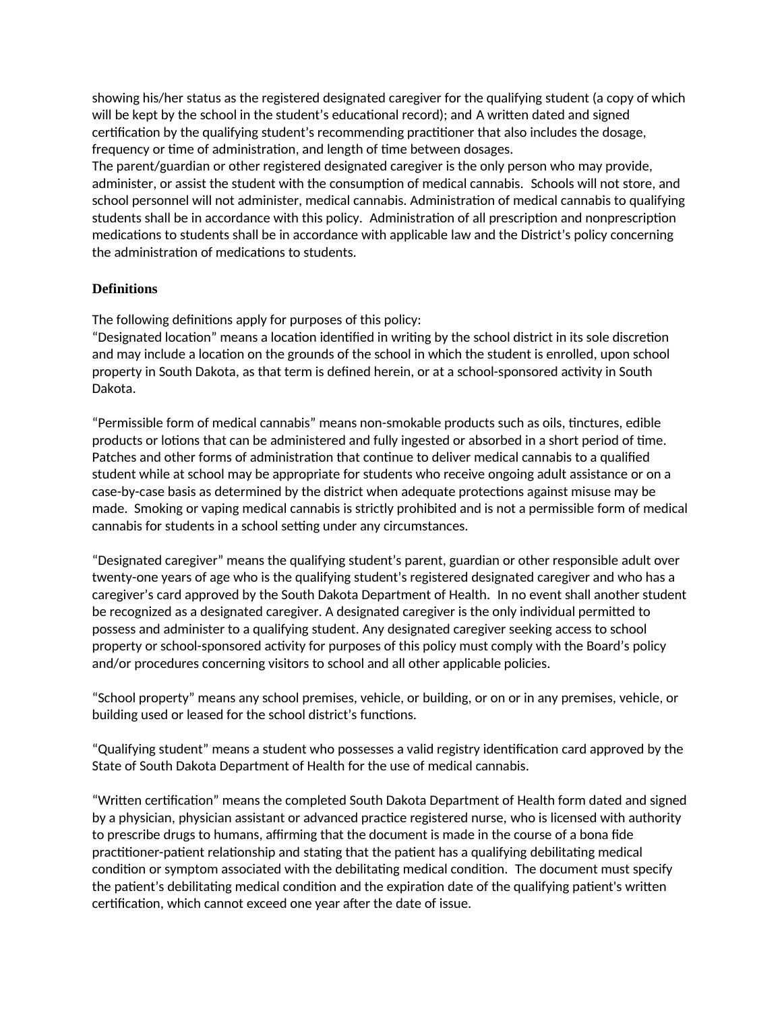showing his/her status as the registered designated caregiver for the qualifying student (a copy of which will be kept by the school in the student's educational record); and A written dated and signed certification by the qualifying student's recommending practitioner that also includes the dosage, frequency or time of administration, and length of time between dosages.

The parent/guardian or other registered designated caregiver is the only person who may provide, administer, or assist the student with the consumption of medical cannabis. Schools will not store, and school personnel will not administer, medical cannabis. Administration of medical cannabis to qualifying students shall be in accordance with this policy. Administration of all prescription and nonprescription medications to students shall be in accordance with applicable law and the District's policy concerning the administration of medications to students.

# **Definitions**

The following definitions apply for purposes of this policy:

"Designated location" means a location identified in writing by the school district in its sole discretion and may include a location on the grounds of the school in which the student is enrolled, upon school property in South Dakota, as that term is defined herein, or at a school-sponsored activity in South Dakota.

"Permissible form of medical cannabis" means non-smokable products such as oils, tinctures, edible products or lotions that can be administered and fully ingested or absorbed in a short period of time. Patches and other forms of administration that continue to deliver medical cannabis to a qualified student while at school may be appropriate for students who receive ongoing adult assistance or on a case-by-case basis as determined by the district when adequate protections against misuse may be made. Smoking or vaping medical cannabis is strictly prohibited and is not a permissible form of medical cannabis for students in a school setting under any circumstances.

"Designated caregiver" means the qualifying student's parent, guardian or other responsible adult over twenty-one years of age who is the qualifying student's registered designated caregiver and who has a caregiver's card approved by the South Dakota Department of Health. In no event shall another student be recognized as a designated caregiver. A designated caregiver is the only individual permitted to possess and administer to a qualifying student. Any designated caregiver seeking access to school property or school-sponsored activity for purposes of this policy must comply with the Board's policy and/or procedures concerning visitors to school and all other applicable policies.

"School property" means any school premises, vehicle, or building, or on or in any premises, vehicle, or building used or leased for the school district's functions.

"Qualifying student" means a student who possesses a valid registry identification card approved by the State of South Dakota Department of Health for the use of medical cannabis.

"Written certification" means the completed South Dakota Department of Health form dated and signed by a physician, physician assistant or advanced practice registered nurse, who is licensed with authority to prescribe drugs to humans, affirming that the document is made in the course of a bona fide practitioner-patient relationship and stating that the patient has a qualifying debilitating medical condition or symptom associated with the debilitating medical condition. The document must specify the patient's debilitating medical condition and the expiration date of the qualifying patient's written certification, which cannot exceed one year after the date of issue.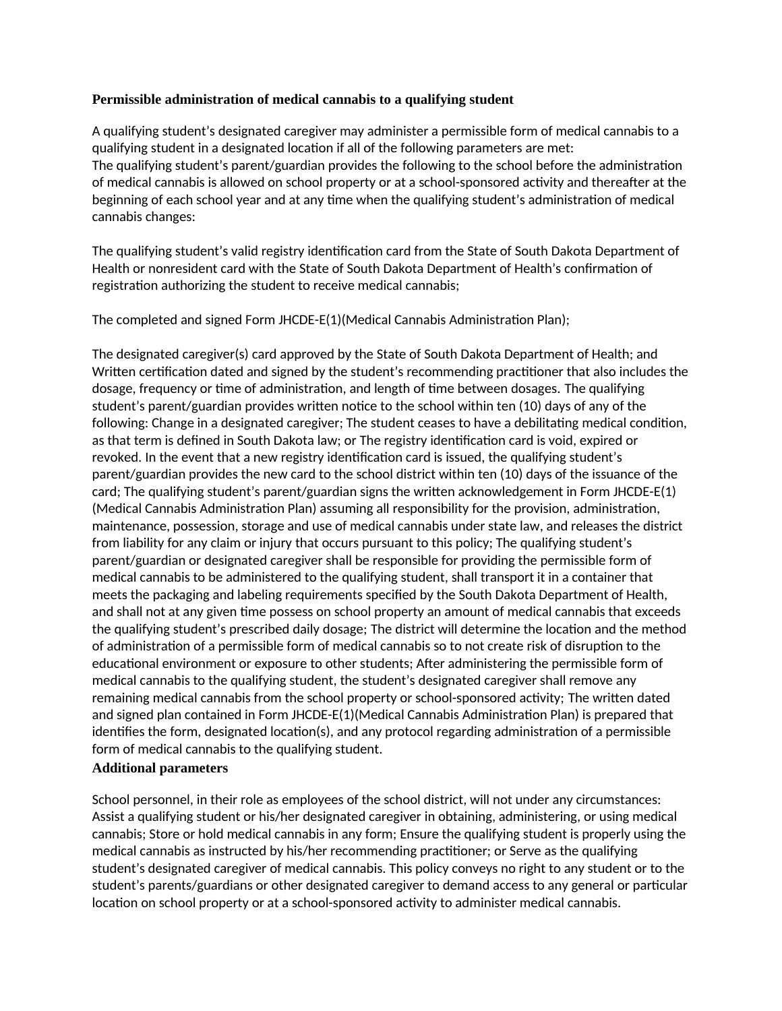### **Permissible administration of medical cannabis to a qualifying student**

A qualifying student's designated caregiver may administer a permissible form of medical cannabis to a qualifying student in a designated location if all of the following parameters are met: The qualifying student's parent/guardian provides the following to the school before the administration of medical cannabis is allowed on school property or at a school-sponsored activity and thereafter at the beginning of each school year and at any time when the qualifying student's administration of medical cannabis changes:

The qualifying student's valid registry identification card from the State of South Dakota Department of Health or nonresident card with the State of South Dakota Department of Health's confirmation of registration authorizing the student to receive medical cannabis;

The completed and signed Form JHCDE-E(1)(Medical Cannabis Administration Plan);

The designated caregiver(s) card approved by the State of South Dakota Department of Health; and Written certification dated and signed by the student's recommending practitioner that also includes the dosage, frequency or time of administration, and length of time between dosages. The qualifying student's parent/guardian provides written notice to the school within ten (10) days of any of the following: Change in a designated caregiver; The student ceases to have a debilitating medical condition, as that term is defined in South Dakota law; or The registry identification card is void, expired or revoked. In the event that a new registry identification card is issued, the qualifying student's parent/guardian provides the new card to the school district within ten (10) days of the issuance of the card; The qualifying student's parent/guardian signs the written acknowledgement in Form JHCDE-E(1) (Medical Cannabis Administration Plan) assuming all responsibility for the provision, administration, maintenance, possession, storage and use of medical cannabis under state law, and releases the district from liability for any claim or injury that occurs pursuant to this policy; The qualifying student's parent/guardian or designated caregiver shall be responsible for providing the permissible form of medical cannabis to be administered to the qualifying student, shall transport it in a container that meets the packaging and labeling requirements specified by the South Dakota Department of Health, and shall not at any given time possess on school property an amount of medical cannabis that exceeds the qualifying student's prescribed daily dosage; The district will determine the location and the method of administration of a permissible form of medical cannabis so to not create risk of disruption to the educational environment or exposure to other students; After administering the permissible form of medical cannabis to the qualifying student, the student's designated caregiver shall remove any remaining medical cannabis from the school property or school-sponsored activity; The written dated and signed plan contained in Form JHCDE-E(1)(Medical Cannabis Administration Plan) is prepared that identifies the form, designated location(s), and any protocol regarding administration of a permissible form of medical cannabis to the qualifying student.

### **Additional parameters**

School personnel, in their role as employees of the school district, will not under any circumstances: Assist a qualifying student or his/her designated caregiver in obtaining, administering, or using medical cannabis; Store or hold medical cannabis in any form; Ensure the qualifying student is properly using the medical cannabis as instructed by his/her recommending practitioner; or Serve as the qualifying student's designated caregiver of medical cannabis. This policy conveys no right to any student or to the student's parents/guardians or other designated caregiver to demand access to any general or particular location on school property or at a school-sponsored activity to administer medical cannabis.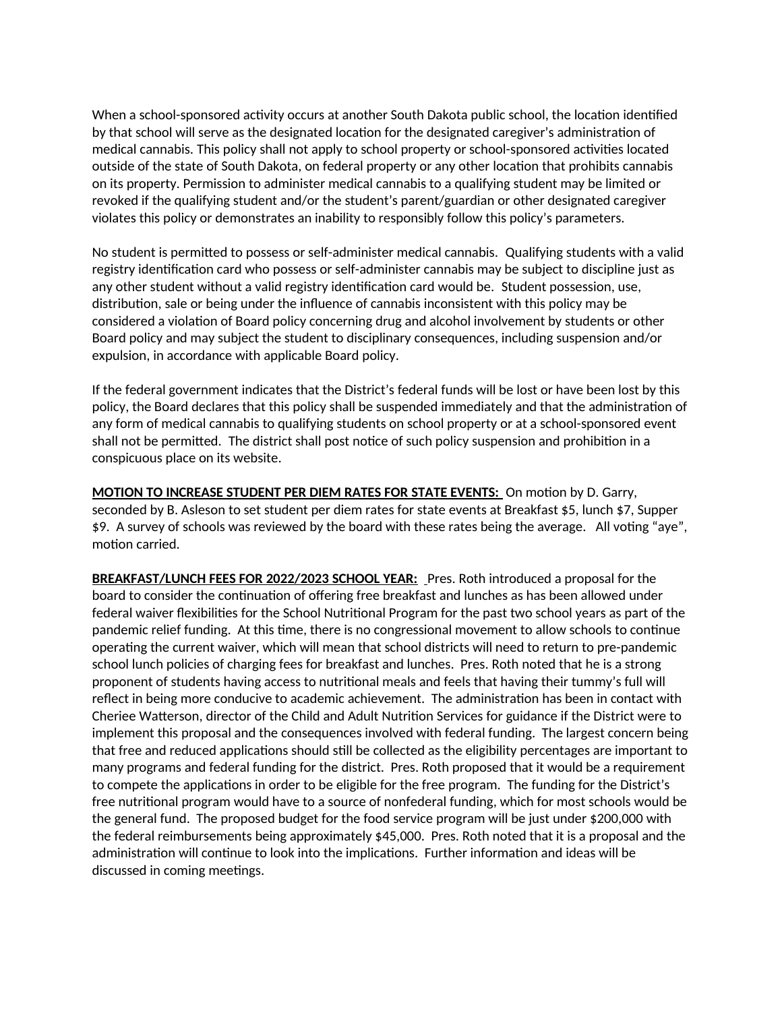When a school-sponsored activity occurs at another South Dakota public school, the location identified by that school will serve as the designated location for the designated caregiver's administration of medical cannabis. This policy shall not apply to school property or school-sponsored activities located outside of the state of South Dakota, on federal property or any other location that prohibits cannabis on its property. Permission to administer medical cannabis to a qualifying student may be limited or revoked if the qualifying student and/or the student's parent/guardian or other designated caregiver violates this policy or demonstrates an inability to responsibly follow this policy's parameters.

No student is permitted to possess or self-administer medical cannabis. Qualifying students with a valid registry identification card who possess or self-administer cannabis may be subject to discipline just as any other student without a valid registry identification card would be. Student possession, use, distribution, sale or being under the influence of cannabis inconsistent with this policy may be considered a violation of Board policy concerning drug and alcohol involvement by students or other Board policy and may subject the student to disciplinary consequences, including suspension and/or expulsion, in accordance with applicable Board policy.

If the federal government indicates that the District's federal funds will be lost or have been lost by this policy, the Board declares that this policy shall be suspended immediately and that the administration of any form of medical cannabis to qualifying students on school property or at a school-sponsored event shall not be permitted. The district shall post notice of such policy suspension and prohibition in a conspicuous place on its website.

**MOTION TO INCREASE STUDENT PER DIEM RATES FOR STATE EVENTS:** On motion by D. Garry, seconded by B. Asleson to set student per diem rates for state events at Breakfast \$5, lunch \$7, Supper \$9. A survey of schools was reviewed by the board with these rates being the average. All voting "aye", motion carried.

**BREAKFAST/LUNCH FEES FOR 2022/2023 SCHOOL YEAR:** Pres. Roth introduced a proposal for the board to consider the continuation of offering free breakfast and lunches as has been allowed under federal waiver flexibilities for the School Nutritional Program for the past two school years as part of the pandemic relief funding. At this time, there is no congressional movement to allow schools to continue operating the current waiver, which will mean that school districts will need to return to pre-pandemic school lunch policies of charging fees for breakfast and lunches. Pres. Roth noted that he is a strong proponent of students having access to nutritional meals and feels that having their tummy's full will reflect in being more conducive to academic achievement. The administration has been in contact with Cheriee Watterson, director of the Child and Adult Nutrition Services for guidance if the District were to implement this proposal and the consequences involved with federal funding. The largest concern being that free and reduced applications should still be collected as the eligibility percentages are important to many programs and federal funding for the district. Pres. Roth proposed that it would be a requirement to compete the applications in order to be eligible for the free program. The funding for the District's free nutritional program would have to a source of nonfederal funding, which for most schools would be the general fund. The proposed budget for the food service program will be just under \$200,000 with the federal reimbursements being approximately \$45,000. Pres. Roth noted that it is a proposal and the administration will continue to look into the implications. Further information and ideas will be discussed in coming meetings.